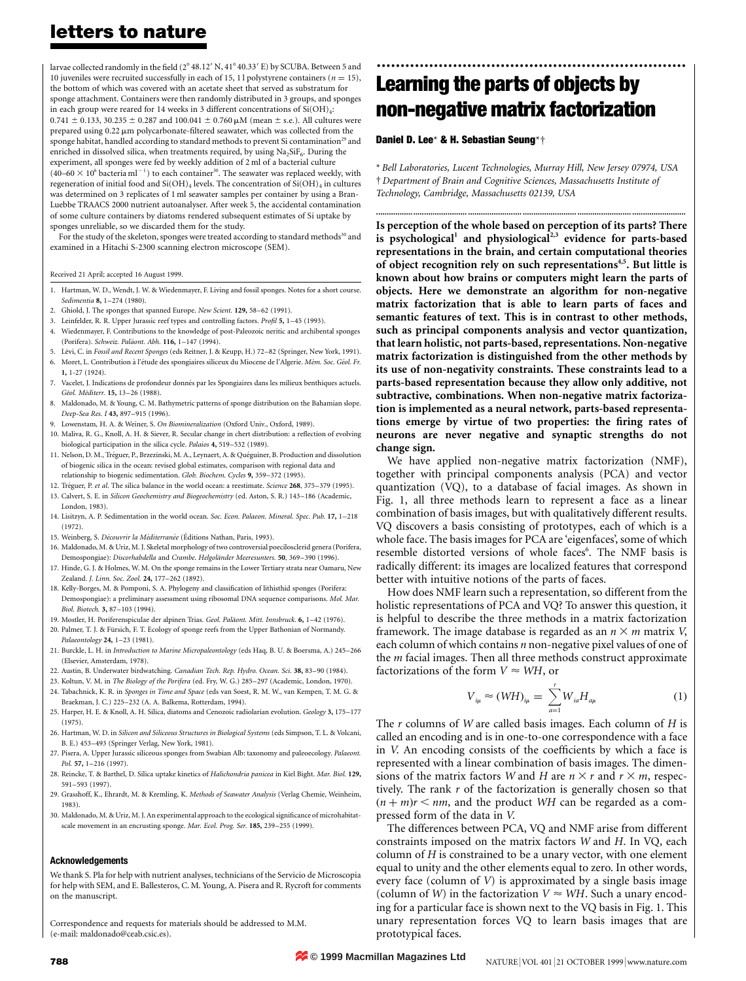larvae collected randomly in the field  $(2^{\circ}48.12'$  N,  $41^{\circ}40.33'$  E) by SCUBA. Between 5 and 10 juveniles were recruited successfully in each of 15, 11 polystyrene containers ( $n = 15$ ), the bottom of which was covered with an acetate sheet that served as substratum for sponge attachment. Containers were then randomly distributed in 3 groups, and sponges in each group were reared for 14 weeks in 3 different concentrations of Si(OH)4:  $0.741 \pm 0.133$ ,  $30.235 \pm 0.287$  and  $100.041 \pm 0.760$   $\mu$ M (mean  $\pm$  s.e.). All cultures were prepared using  $0.22 \mu m$  polycarbonate-filtered seawater, which was collected from the sponge habitat, handled according to standard methods to prevent Si contamination<sup>29</sup> and enriched in dissolved silica, when treatments required, by using  $Na<sub>2</sub>SiF<sub>6</sub>$ . During the experiment, all sponges were fed by weekly addition of 2 ml of a bacterial culture (40–60  $\times$  10<sup>6</sup> bacteria ml<sup>-1</sup>) to each container<sup>30</sup>. The seawater was replaced weekly, with regeneration of initial food and  $Si(OH)_4$  levels. The concentration of  $Si(OH)_4$  in cultures was determined on 3 replicates of 1 ml seawater samples per container by using a Bran-Luebbe TRAACS 2000 nutrient autoanalyser. After week 5, the accidental contamination of some culture containers by diatoms rendered subsequent estimates of Si uptake by sponges unreliable, so we discarded them for the study.

For the study of the skeleton, sponges were treated according to standard methods  $\rm^{30}$  and examined in a Hitachi S-2300 scanning electron microscope (SEM).

#### Received 21 April; accepted 16 August 1999.

- 1. Hartman, W. D., Wendt, J. W. & Wiedenmayer, F. Living and fossil sponges. Notes for a short course. *Sedimentia* **8,** 1–274 (1980).
- 2. Ghiold, J. The sponges that spanned Europe. *New Scient.* **129,** 58–62 (1991).
- 3. Leinfelder, R. R. Upper Jurassic reef types and controlling factors. *Profil* **5,** 1–45 (1993).
- 4. Wiedenmayer, F. Contributions to the knowledge of post-Paleozoic neritic and archibental sponges (Porifera). *Schweiz. Pala¨ont. Abh.* **116,** 1–147 (1994).
- 5. Le´vi, C. in *Fossil and Recent Sponges* (eds Reitner, J. & Keupp, H.) 72–82 (Springer, New York, 1991). 6. Moret, L. Contribution à l'étude des spongiaires siliceux du Miocene de l'Algerie. Mém. Soc. Géol. Fr.
- 1, 1-27 (1924)
- 7. Vacelet, J. Indications de profondeur donnés par les Spongiaires dans les milieux benthiques actuels. *Ge´ol. Me´diterr.* **15,** 13–26 (1988).
- 8. Maldonado, M. & Young, C. M. Bathymetric patterns of sponge distribution on the Bahamian slope. *Deep-Sea Res. I* **43,** 897–915 (1996).
- 9. Lowenstam, H. A. & Weiner, S. *On Biomineralization* (Oxford Univ., Oxford, 1989).
- 10. Maliva, R. G., Knoll, A. H. & Siever, R. Secular change in chert distribution: a reflection of evolving biological participation in the silica cycle. *Palaios* **4,** 519–532 (1989).
- 11. Nelson, D. M., Tréguer, P., Brzezinski, M. A., Leynaert, A. & Quéguiner, B. Production and dissolution of biogenic silica in the ocean: revised global estimates, comparison with regional data and relationship to biogenic sedimentation. *Glob. Biochem. Cycles* **9,** 359–372 (1995).
- 12. Tre´guer, P. *et al*. The silica balance in the world ocean: a reestimate. *Science* **268**; 375–379 (1995). 13. Calvert, S. E. in *Silicon Geochemistry and Biogeochemistry* (ed. Aston, S. R.) 143–186 (Academic,
- London, 1983). 14. Lisitzyn, A. P. Sedimentation in the world ocean. *Soc. Econ. Palaeon. Mineral. Spec. Pub.* **17,** 1–218
- (1972).
- 15. Weinberg, S. *Découvrir la Méditerranée* (Éditions Nathan, Paris, 1993).
- 16. Maldonado, M. & Uriz, M. J. Skeletal morphology of two controversial poecilosclerid genera (Porifera, Demospongiae): *Discorhabdella* and *Crambe*. *Helgola¨nder Meeresunters.* **50**; 369–390 (1996).
- 17. Hinde, G. J. & Holmes, W. M. On the sponge remains in the Lower Tertiary strata near Oamaru, New Zealand. *J. Linn. Soc. Zool.* **24,** 177–262 (1892).
- 18. Kelly-Borges, M. & Pomponi, S. A. Phylogeny and classification of lithisthid sponges (Porifera: Demospongiae): a preliminary assessment using ribosomal DNA sequence comparisons. *Mol. Mar. Biol. Biotech.* **3,** 87–103 (1994).
- 19. Mostler, H. Poriferenspiculae der alpinen Trias. *Geol. Paläont. Mitt. Innsbruck.* 6, 1-42 (1976).
- 20. Palmer, T. J. & Fürsich, F. T. Ecology of sponge reefs from the Upper Bathonian of Normandy. *Palaeontology* **24,** 1–23 (1981).
- 21. Burckle, L. H. in *Introduction to Marine Micropaleontology* (eds Haq, B. U. & Boersma, A.) 245–266 (Elsevier, Amsterdam, 1978).
- 22. Austin, B. Underwater birdwatching. *Canadian Tech. Rep. Hydro. Ocean. Sci.* **38,** 83–90 (1984).
- 23. Koltun, V. M. in *The Biology of the Porifera* (ed. Fry, W. G.) 285–297 (Academic, London, 1970).
- 24. Tabachnick, K. R. in *Sponges in Time and Space* (eds van Soest, R. M. W., van Kempen, T. M. G. & Braekman, J. C.) 225–232 (A. A. Balkema, Rotterdam, 1994).
- 25. Harper, H. E. & Knoll, A. H. Silica, diatoms and Cenozoic radiolarian evolution. *Geology* **3,** 175–177 (1975).
- 26. Hartman, W. D. in *Silicon and Siliceous Structures in Biological Systems* (eds Simpson, T. L. & Volcani, B. E.) 453–493 (Springer Verlag, New York, 1981).
- 27. Pisera, A. Upper Jurassic siliceous sponges from Swabian Alb: taxonomy and paleoecology. *Palaeont. Pol.* **57,** 1–216 (1997).
- 28. Reincke, T. & Barthel, D. Silica uptake kinetics of *Halichondria panicea* in Kiel Bight. *Mar. Biol.* **129,** 591–593 (1997).
- 29. Grasshoff, K., Ehrardt, M. & Kremling, K. *Methods of Seawater Analysis* (Verlag Chemie, Weinheim, 1983).
- 30. Maldonado, M. & Uriz, M. J. An experimental approach to the ecological significance of microhabitatscale movement in an encrusting sponge. *Mar. Ecol. Prog. Ser.* **185,** 239–255 (1999).

### **Acknowledgements**

We thank S. Pla for help with nutrient analyses, technicians of the Servicio de Microscopia for help with SEM, and E. Ballesteros, C. M. Young, A. Pisera and R. Rycroft for comments on the manuscript.

Correspondence and requests for materials should be addressed to M.M. (e-mail: maldonado@ceab.csic.es).

# ................................................................. **Learning the parts of objects by non-negative matrix factorization**

### **Daniel D. Lee**\* **& H. Sebastian Seung**\*†

\* *Bell Laboratories, Lucent Technologies, Murray Hill, New Jersey 07974, USA* † *Department of Brain and Cognitive Sciences, Massachusetts Institute of Technology, Cambridge, Massachusetts 02139, USA*

**.......................................... ......................... ......................... ......................... .........................**

**Is perception of the whole based on perception of its parts? There is psychological<sup>1</sup> and physiological2,3 evidence for parts-based representations in the brain, and certain computational theories of object recognition rely on such representations4,5. But little is known about how brains or computers might learn the parts of objects. Here we demonstrate an algorithm for non-negative matrix factorization that is able to learn parts of faces and semantic features of text. This is in contrast to other methods, such as principal components analysis and vector quantization, that learn holistic, not parts-based, representations. Non-negative matrix factorization is distinguished from the other methods by its use of non-negativity constraints. These constraints lead to a parts-based representation because they allow only additive, not subtractive, combinations. When non-negative matrix factorization is implemented as a neural network, parts-based representations emerge by virtue of two properties: the firing rates of neurons are never negative and synaptic strengths do not change sign.**

We have applied non-negative matrix factorization (NMF), together with principal components analysis (PCA) and vector quantization (VQ), to a database of facial images. As shown in Fig. 1, all three methods learn to represent a face as a linear combination of basis images, but with qualitatively different results. VQ discovers a basis consisting of prototypes, each of which is a whole face. The basis images for PCA are 'eigenfaces', some of which resemble distorted versions of whole faces<sup>6</sup>. The NMF basis is radically different: its images are localized features that correspond better with intuitive notions of the parts of faces.

How does NMF learn such a representation, so different from the holistic representations of PCA and VQ? To answer this question, it is helpful to describe the three methods in a matrix factorization framework. The image database is regarded as an  $n \times m$  matrix *V*, each column of which contains *n* non-negative pixel values of one of the *m* facial images. Then all three methods construct approximate factorizations of the form  $V \approx WH$ , or

$$
V_{i\mu} \approx (WH)_{i\mu} = \sum_{a=1}^{r} W_{ia} H_{a\mu}
$$
 (1)

The *r* columns of *W* are called basis images. Each column of *H* is called an encoding and is in one-to-one correspondence with a face in *V*. An encoding consists of the coefficients by which a face is represented with a linear combination of basis images. The dimensions of the matrix factors *W* and *H* are  $n \times r$  and  $r \times m$ , respectively. The rank *r* of the factorization is generally chosen so that  $(n + m)r < nm$ , and the product *WH* can be regarded as a compressed form of the data in *V*.

The differences between PCA, VQ and NMF arise from different constraints imposed on the matrix factors *W* and *H*. In VQ, each column of *H* is constrained to be a unary vector, with one element equal to unity and the other elements equal to zero. In other words, every face (column of *V*) is approximated by a single basis image (column of *W*) in the factorization  $V \approx WH$ . Such a unary encoding for a particular face is shown next to the VQ basis in Fig. 1. This unary representation forces VQ to learn basis images that are prototypical faces.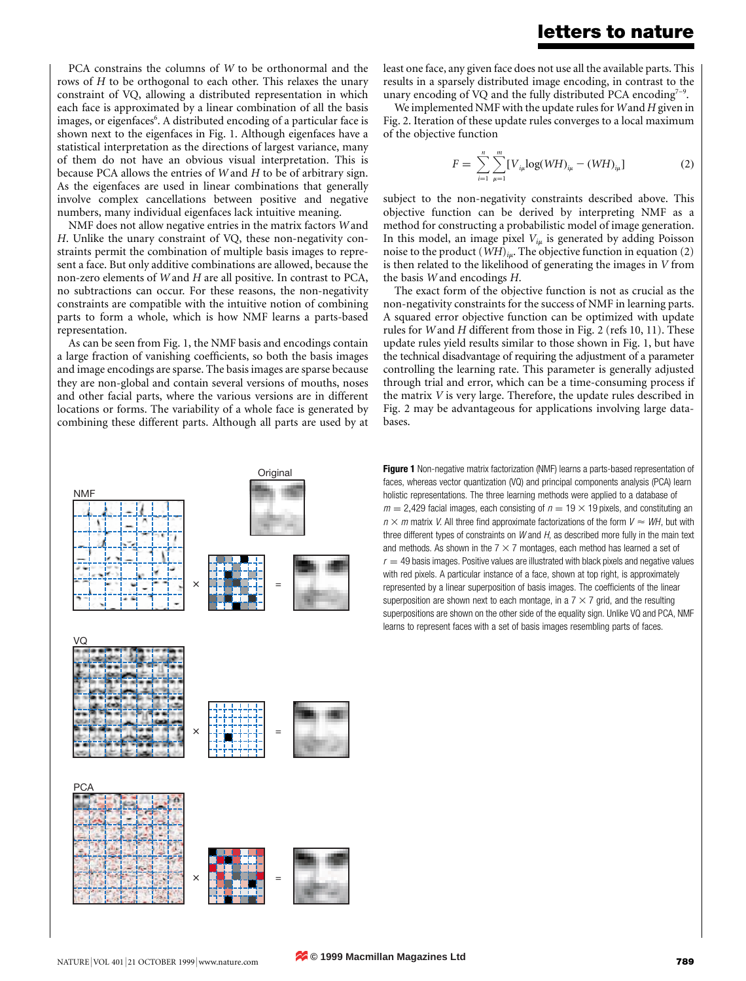PCA constrains the columns of *W* to be orthonormal and the rows of *H* to be orthogonal to each other. This relaxes the unary constraint of VQ, allowing a distributed representation in which each face is approximated by a linear combination of all the basis images, or eigenfaces<sup>6</sup>. A distributed encoding of a particular face is shown next to the eigenfaces in Fig. 1. Although eigenfaces have a statistical interpretation as the directions of largest variance, many of them do not have an obvious visual interpretation. This is because PCA allows the entries of *W* and *H* to be of arbitrary sign. As the eigenfaces are used in linear combinations that generally involve complex cancellations between positive and negative numbers, many individual eigenfaces lack intuitive meaning.

NMF does not allow negative entries in the matrix factors *W*and *H*. Unlike the unary constraint of VQ, these non-negativity constraints permit the combination of multiple basis images to represent a face. But only additive combinations are allowed, because the non-zero elements of *W* and *H* are all positive. In contrast to PCA, no subtractions can occur. For these reasons, the non-negativity constraints are compatible with the intuitive notion of combining parts to form a whole, which is how NMF learns a parts-based representation.

As can be seen from Fig. 1, the NMF basis and encodings contain a large fraction of vanishing coefficients, so both the basis images and image encodings are sparse. The basis images are sparse because they are non-global and contain several versions of mouths, noses and other facial parts, where the various versions are in different locations or forms. The variability of a whole face is generated by combining these different parts. Although all parts are used by at



least one face, any given face does not use all the available parts. This results in a sparsely distributed image encoding, in contrast to the unary encoding of VQ and the fully distributed PCA encoding<sup>7-9</sup>.

We implemented NMF with the update rules for *W*and *H* given in Fig. 2. Iteration of these update rules converges to a local maximum of the objective function

$$
F = \sum_{i=1}^{n} \sum_{\mu=1}^{m} [V_{i\mu} \log (WH)_{i\mu} - (WH)_{i\mu}]
$$
 (2)

subject to the non-negativity constraints described above. This objective function can be derived by interpreting NMF as a method for constructing a probabilistic model of image generation. In this model, an image pixel  $V_{i\mu}$  is generated by adding Poisson noise to the product  $(WH)_{i\mu}$ . The objective function in equation (2) is then related to the likelihood of generating the images in *V* from the basis *W* and encodings *H*.

The exact form of the objective function is not as crucial as the non-negativity constraints for the success of NMF in learning parts. A squared error objective function can be optimized with update rules for *W* and *H* different from those in Fig. 2 (refs 10, 11). These update rules yield results similar to those shown in Fig. 1, but have the technical disadvantage of requiring the adjustment of a parameter controlling the learning rate. This parameter is generally adjusted through trial and error, which can be a time-consuming process if the matrix *V* is very large. Therefore, the update rules described in Fig. 2 may be advantageous for applications involving large databases.

Original **Figure 1** Non-negative matrix factorization (NMF) learns a parts-based representation of faces, whereas vector quantization (VQ) and principal components analysis (PCA) learn holistic representations. The three learning methods were applied to a database of  $m = 2,429$  facial images, each consisting of  $n = 19 \times 19$  pixels, and constituting an  $n \times m$  matrix V. All three find approximate factorizations of the form  $V \approx WH$ , but with three different types of constraints on  $W$  and  $H$ , as described more fully in the main text and methods. As shown in the  $7 \times 7$  montages, each method has learned a set of  $r = 49$  basis images. Positive values are illustrated with black pixels and negative values with red pixels. A particular instance of a face, shown at top right, is approximately represented by a linear superposition of basis images. The coefficients of the linear superposition are shown next to each montage, in a  $7 \times 7$  grid, and the resulting superpositions are shown on the other side of the equality sign. Unlike VQ and PCA, NMF learns to represent faces with a set of basis images resembling parts of faces.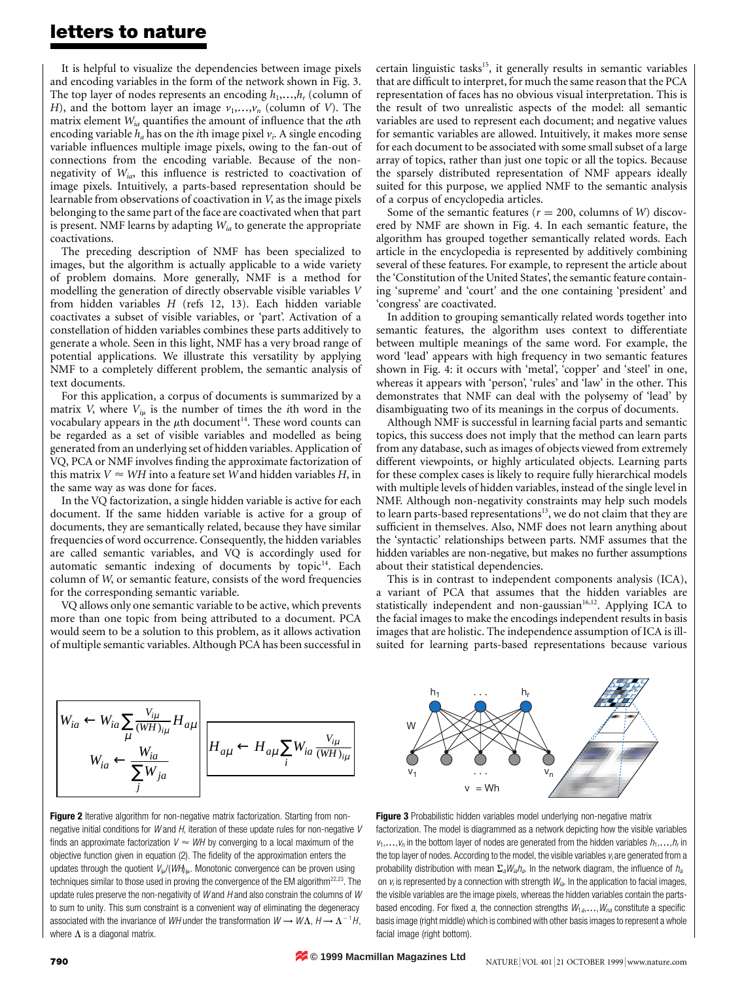It is helpful to visualize the dependencies between image pixels and encoding variables in the form of the network shown in Fig. 3. The top layer of nodes represents an encoding  $h_1, \ldots, h_r$  (column of *H*), and the bottom layer an image  $v_1, \ldots, v_n$  (column of *V*). The matrix element *Wia* quantifies the amount of influence that the *a*th encoding variable  $h_a$  has on the *i*th image pixel  $v_i$ . A single encoding variable influences multiple image pixels, owing to the fan-out of connections from the encoding variable. Because of the nonnegativity of *Wia*, this influence is restricted to coactivation of image pixels. Intuitively, a parts-based representation should be learnable from observations of coactivation in *V*, as the image pixels belonging to the same part of the face are coactivated when that part is present. NMF learns by adapting *Wia* to generate the appropriate coactivations.

The preceding description of NMF has been specialized to images, but the algorithm is actually applicable to a wide variety of problem domains. More generally, NMF is a method for modelling the generation of directly observable visible variables *V* from hidden variables *H* (refs 12, 13). Each hidden variable coactivates a subset of visible variables, or 'part'. Activation of a constellation of hidden variables combines these parts additively to generate a whole. Seen in this light, NMF has a very broad range of potential applications. We illustrate this versatility by applying NMF to a completely different problem, the semantic analysis of text documents.

For this application, a corpus of documents is summarized by a matrix *V*, where  $V_{i\mu}$  is the number of times the *i*th word in the vocabulary appears in the  $\mu$ th document<sup>14</sup>. These word counts can be regarded as a set of visible variables and modelled as being generated from an underlying set of hidden variables. Application of VQ, PCA or NMF involves finding the approximate factorization of this matrix  $V \approx WH$  into a feature set *W* and hidden variables *H*, in the same way as was done for faces.

In the VQ factorization, a single hidden variable is active for each document. If the same hidden variable is active for a group of documents, they are semantically related, because they have similar frequencies of word occurrence. Consequently, the hidden variables are called semantic variables, and VQ is accordingly used for automatic semantic indexing of documents by topic $14$ . Each column of *W*, or semantic feature, consists of the word frequencies for the corresponding semantic variable.

VQ allows only one semantic variable to be active, which prevents more than one topic from being attributed to a document. PCA would seem to be a solution to this problem, as it allows activation of multiple semantic variables. Although PCA has been successful in

certain linguistic tasks<sup>15</sup>, it generally results in semantic variables that are difficult to interpret, for much the same reason that the PCA representation of faces has no obvious visual interpretation. This is the result of two unrealistic aspects of the model: all semantic variables are used to represent each document; and negative values for semantic variables are allowed. Intuitively, it makes more sense for each document to be associated with some small subset of a large array of topics, rather than just one topic or all the topics. Because the sparsely distributed representation of NMF appears ideally suited for this purpose, we applied NMF to the semantic analysis of a corpus of encyclopedia articles.

Some of the semantic features ( $r = 200$ , columns of *W*) discovered by NMF are shown in Fig. 4. In each semantic feature, the algorithm has grouped together semantically related words. Each article in the encyclopedia is represented by additively combining several of these features. For example, to represent the article about the 'Constitution of the United States', the semantic feature containing 'supreme' and 'court' and the one containing 'president' and 'congress' are coactivated.

In addition to grouping semantically related words together into semantic features, the algorithm uses context to differentiate between multiple meanings of the same word. For example, the word 'lead' appears with high frequency in two semantic features shown in Fig. 4: it occurs with 'metal', 'copper' and 'steel' in one, whereas it appears with 'person', 'rules' and <sup>'</sup>law' in the other. This demonstrates that NMF can deal with the polysemy of 'lead' by disambiguating two of its meanings in the corpus of documents.

Although NMF is successful in learning facial parts and semantic topics, this success does not imply that the method can learn parts from any database, such as images of objects viewed from extremely different viewpoints, or highly articulated objects. Learning parts for these complex cases is likely to require fully hierarchical models with multiple levels of hidden variables, instead of the single level in NMF. Although non-negativity constraints may help such models to learn parts-based representations<sup>13</sup>, we do not claim that they are sufficient in themselves. Also, NMF does not learn anything about the 'syntactic' relationships between parts. NMF assumes that the hidden variables are non-negative, but makes no further assumptions about their statistical dependencies.

This is in contrast to independent components analysis (ICA), a variant of PCA that assumes that the hidden variables are statistically independent and non-gaussian<sup>16,12</sup>. Applying ICA to the facial images to make the encodings independent results in basis images that are holistic. The independence assumption of ICA is illsuited for learning parts-based representations because various



Figure 2 Iterative algorithm for non-negative matrix factorization. Starting from nonnegative initial conditions for W and H, iteration of these update rules for non-negative V finds an approximate factorization  $V \approx WH$  by converging to a local maximum of the objective function given in equation (2). The fidelity of the approximation enters the updates through the quotient  $V_{i\mu}/(WH)_{i\mu}$ . Monotonic convergence can be proven using techniques similar to those used in proving the convergence of the EM algorithm<sup>22,23</sup>. The update rules preserve the non-negativity of  $W$  and  $H$  and also constrain the columns of  $W$ to sum to unity. This sum constraint is a convenient way of eliminating the degeneracy associated with the invariance of WH under the transformation  $W \to W\Lambda$ ,  $H \to \Lambda^{-1}H$ , where  $\Lambda$  is a diagonal matrix.



Figure 3 Probabilistic hidden variables model underlying non-negative matrix factorization. The model is diagrammed as a network depicting how the visible variables  $v_1, \ldots, v_n$  in the bottom layer of nodes are generated from the hidden variables  $h_1, \ldots, h_r$  in the top layer of nodes. According to the model, the visible variables  $v_i$  are generated from a probability distribution with mean  $\Sigma_a W_{ia} h_{a}$ . In the network diagram, the influence of  $h_a$ on  $v_i$  is represented by a connection with strength  $W_{ia}$ . In the application to facial images, the visible variables are the image pixels, whereas the hidden variables contain the partsbased encoding. For fixed a, the connection strengths  $W_{1a}, \ldots, W_{na}$  constitute a specific basis image (right middle) which is combined with other basis images to represent a whole facial image (right bottom).